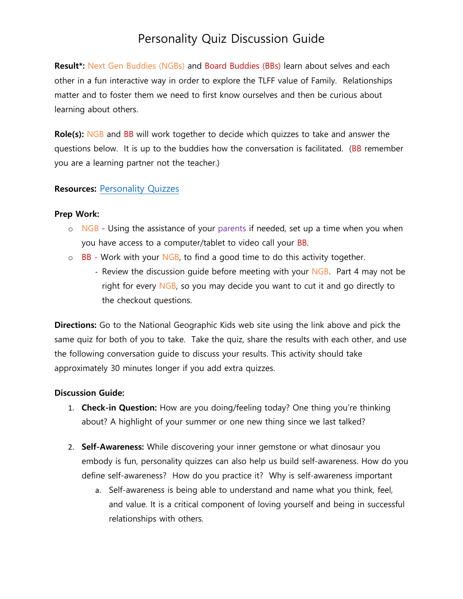Result<sup>\*</sup>: Next Gen Buddies (NGBs) and Board Buddies (BBs) learn about selves and each other in a fun interactive way in order to explore the TLFF value of Family. Relationships matter and to foster them we need to first know ourselves and then be curious about learning about others.

**Role(s):** NGB and BB will work together to decide which quizzes to take and answer the questions below. It is up to the buddies how the conversation is facilitated. (BB remember you are a learning partner not the teacher.)

#### **Resources:** [Personality Quizzes](https://kids.nationalgeographic.com/games/personality-quizzes)

#### **Prep Work:**

- $\circ$  NGB Using the assistance of your parents if needed, set up a time when you when you have access to a computer/tablet to video call your BB.
- $\circ$  BB Work with your NGB, to find a good time to do this activity together.
	- Review the discussion quide before meeting with your NGB. Part 4 may not be right for every NGB, so you may decide you want to cut it and go directly to the checkout questions.

**Directions:** Go to the National Geographic Kids web site using the link above and pick the same quiz for both of you to take. Take the quiz, share the results with each other, and use the following conversation guide to discuss your results. This activity should take approximately 30 minutes longer if you add extra quizzes.

#### **Discussion Guide:**

- 1. **Check-in Question:** How are you doing/feeling today? One thing you're thinking about? A highlight of your summer or one new thing since we last talked?
- 2. **Self-Awareness:** While discovering your inner gemstone or what dinosaur you embody is fun, personality quizzes can also help us build self-awareness. How do you define self-awareness? How do you practice it? Why is self-awareness important
	- a. Self-awareness is being able to understand and name what you think, feel, and value. It is a critical component of loving yourself and being in successful relationships with others.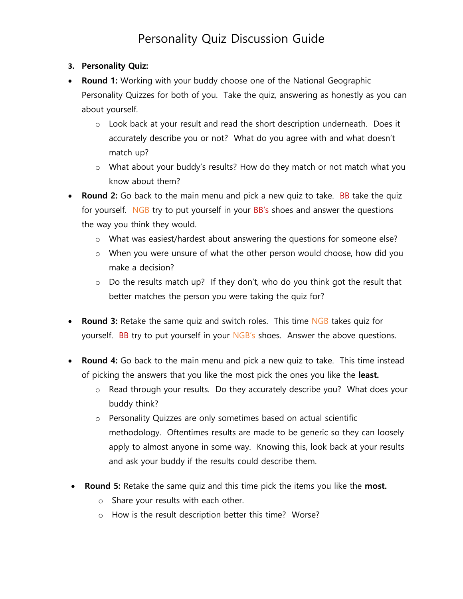### **3. Personality Quiz:**

- **Round 1:** Working with your buddy choose one of the National Geographic Personality Quizzes for both of you. Take the quiz, answering as honestly as you can about yourself.
	- o Look back at your result and read the short description underneath. Does it accurately describe you or not? What do you agree with and what doesn't match up?
	- o What about your buddy's results? How do they match or not match what you know about them?
- **Round 2:** Go back to the main menu and pick a new quiz to take. BB take the quiz for yourself. NGB try to put yourself in your BB's shoes and answer the questions the way you think they would.
	- o What was easiest/hardest about answering the questions for someone else?
	- o When you were unsure of what the other person would choose, how did you make a decision?
	- $\circ$  Do the results match up? If they don't, who do you think got the result that better matches the person you were taking the quiz for?
- **Round 3:** Retake the same quiz and switch roles. This time NGB takes quiz for yourself. BB try to put yourself in your NGB's shoes. Answer the above questions.
- **Round 4:** Go back to the main menu and pick a new quiz to take. This time instead of picking the answers that you like the most pick the ones you like the **least.**
	- o Read through your results. Do they accurately describe you? What does your buddy think?
	- o Personality Quizzes are only sometimes based on actual scientific methodology. Oftentimes results are made to be generic so they can loosely apply to almost anyone in some way. Knowing this, look back at your results and ask your buddy if the results could describe them.
- **Round 5:** Retake the same quiz and this time pick the items you like the **most.**
	- o Share your results with each other.
	- o How is the result description better this time? Worse?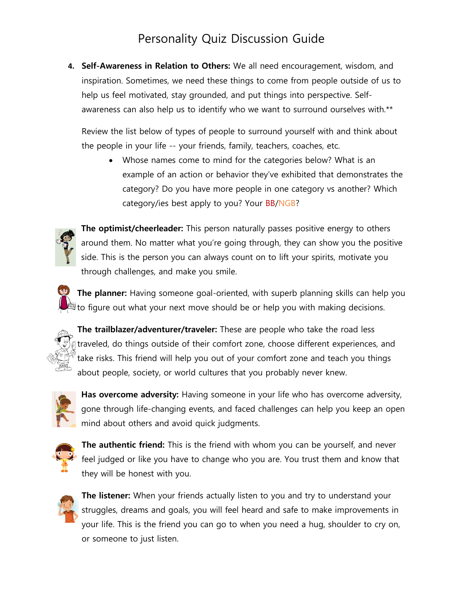**4. Self-Awareness in Relation to Others:** We all need encouragement, wisdom, and inspiration. Sometimes, we need these things to come from people outside of us to help us feel motivated, stay grounded, and put things into perspective. Selfawareness can also help us to identify who we want to surround ourselves with.\*\*

Review the list below of types of people to surround yourself with and think about the people in your life -- your friends, family, teachers, coaches, etc.

• Whose names come to mind for the categories below? What is an example of an action or behavior they've exhibited that demonstrates the category? Do you have more people in one category vs another? Which category/ies best apply to you? Your BB/NGB?



**The optimist/cheerleader:** This person naturally passes positive energy to others around them. No matter what you're going through, they can show you the positive side. This is the person you can always count on to lift your spirits, motivate you through challenges, and make you smile.

**The planner:** Having someone goal-oriented, with superb planning skills can help you to figure out what your next move should be or help you with making decisions.



**The trailblazer/adventurer/traveler:** These are people who take the road less traveled, do things outside of their comfort zone, choose different experiences, and take risks. This friend will help you out of your comfort zone and teach you things about people, society, or world cultures that you probably never knew.



**Has overcome adversity:** Having someone in your life who has overcome adversity, gone through life-changing events, and faced challenges can help you keep an open mind about others and avoid quick judgments.



**The authentic friend:** This is the friend with whom you can be yourself, and never feel judged or like you have to change who you are. You trust them and know that they will be honest with you.



**The listener:** When your friends actually listen to you and try to understand your struggles, dreams and goals, you will feel heard and safe to make improvements in your life. This is the friend you can go to when you need a hug, shoulder to cry on, or someone to just listen.